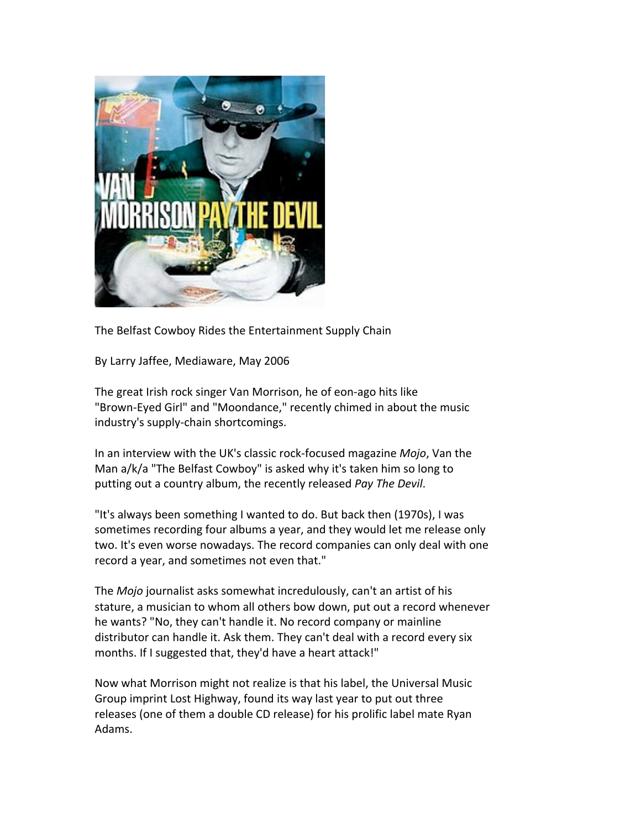

The Belfast Cowboy Rides the Entertainment Supply Chain

By Larry Jaffee, Mediaware, May 2006

The great Irish rock singer Van Morrison, he of eon-ago hits like "Brown-Eyed Girl" and "Moondance," recently chimed in about the music industry's supply-chain shortcomings.

In an interview with the UK's classic rock-focused magazine *Mojo*, Van the Man a/k/a "The Belfast Cowboy" is asked why it's taken him so long to putting out a country album, the recently released Pay The Devil.

"It's always been something I wanted to do. But back then (1970s), I was sometimes recording four albums a year, and they would let me release only two. It's even worse nowadays. The record companies can only deal with one record a year, and sometimes not even that."

The *Mojo* journalist asks somewhat incredulously, can't an artist of his stature, a musician to whom all others bow down, put out a record whenever he wants? "No, they can't handle it. No record company or mainline distributor can handle it. Ask them. They can't deal with a record every six months. If I suggested that, they'd have a heart attack!"

Now what Morrison might not realize is that his label, the Universal Music Group imprint Lost Highway, found its way last year to put out three releases (one of them a double CD release) for his prolific label mate Ryan Adams.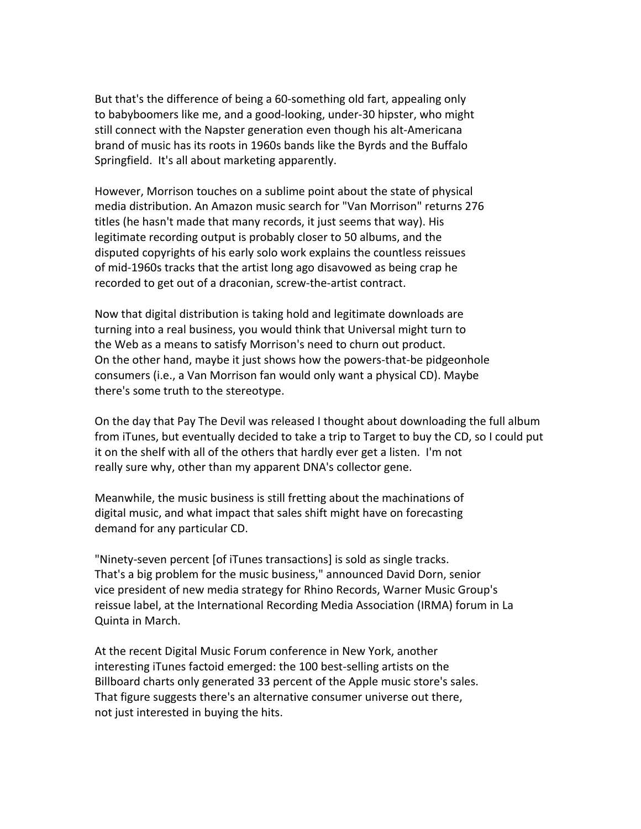But that's the difference of being a 60-something old fart, appealing only to babyboomers like me, and a good-looking, under-30 hipster, who might still connect with the Napster generation even though his alt-Americana brand of music has its roots in 1960s bands like the Byrds and the Buffalo Springfield. It's all about marketing apparently.

However, Morrison touches on a sublime point about the state of physical media distribution. An Amazon music search for "Van Morrison" returns 276 titles (he hasn't made that many records, it just seems that way). His legitimate recording output is probably closer to 50 albums, and the disputed copyrights of his early solo work explains the countless reissues of mid-1960s tracks that the artist long ago disavowed as being crap he recorded to get out of a draconian, screw-the-artist contract.

Now that digital distribution is taking hold and legitimate downloads are turning into a real business, you would think that Universal might turn to the Web as a means to satisfy Morrison's need to churn out product. On the other hand, maybe it just shows how the powers-that-be pidgeonhole consumers (i.e., a Van Morrison fan would only want a physical CD). Maybe there's some truth to the stereotype.

On the day that Pay The Devil was released I thought about downloading the full album from iTunes, but eventually decided to take a trip to Target to buy the CD, so I could put it on the shelf with all of the others that hardly ever get a listen. I'm not really sure why, other than my apparent DNA's collector gene.

Meanwhile, the music business is still fretting about the machinations of digital music, and what impact that sales shift might have on forecasting demand for any particular CD.

"Ninety-seven percent [of iTunes transactions] is sold as single tracks. That's a big problem for the music business," announced David Dorn, senior vice president of new media strategy for Rhino Records, Warner Music Group's reissue label, at the International Recording Media Association (IRMA) forum in La Quinta in March.

At the recent Digital Music Forum conference in New York, another interesting iTunes factoid emerged: the 100 best-selling artists on the Billboard charts only generated 33 percent of the Apple music store's sales. That figure suggests there's an alternative consumer universe out there, not just interested in buying the hits.